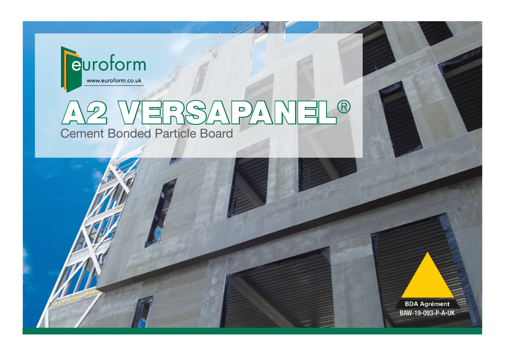

# A2 VERSAPANEL® Cement Bonded Particle Board

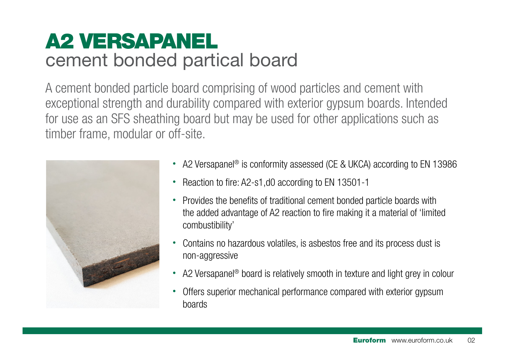# A2 VERSAPANEL cement bonded partical board

A cement bonded particle board comprising of wood particles and cement with exceptional strength and durability compared with exterior gypsum boards. Intended for use as an SFS sheathing board but may be used for other applications such as timber frame, modular or off-site.



- A2 Versapanel® is conformity assessed (CE & UKCA) according to EN 13986
- Reaction to fire: A2-s1,d0 according to EN 13501-1
- Provides the benefits of traditional cement bonded particle boards with the added advantage of A2 reaction to fire making it a material of 'limited combustibility'
- Contains no hazardous volatiles, is asbestos free and its process dust is non-aggressive
- A2 Versapanel<sup>®</sup> board is relatively smooth in texture and light grey in colour
- Offers superior mechanical performance compared with exterior gypsum boards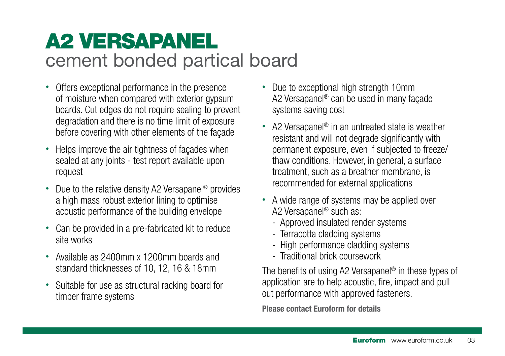# A2 VERSAPANEL cement bonded partical board

- Offers exceptional performance in the presence of moisture when compared with exterior gypsum boards. Cut edges do not require sealing to prevent degradation and there is no time limit of exposure before covering with other elements of the façade
- Helps improve the air tightness of façades when sealed at any joints - test report available upon request
- Due to the relative density A2 Versapanel<sup>®</sup> provides a high mass robust exterior lining to optimise acoustic performance of the building envelope
- Can be provided in a pre-fabricated kit to reduce site works
- Available as 2400mm x 1200mm boards and standard thicknesses of 10, 12, 16 & 18mm
- Suitable for use as structural racking board for timber frame systems
- Due to exceptional high strength 10mm A2 Versapanel® can be used in many façade systems saving cost
- A2 Versapanel<sup>®</sup> in an untreated state is weather resistant and will not degrade significantly with permanent exposure, even if subjected to freeze/ thaw conditions. However, in general, a surface treatment, such as a breather membrane, is recommended for external applications
- A wide range of systems may be applied over A2 Versapanel® such as:
	- Approved insulated render systems
	- Terracotta cladding systems
	- High performance cladding systems
	- Traditional brick coursework

The benefits of using A2 Versapanel® in these types of application are to help acoustic, fire, impact and pull out performance with approved fasteners.

Please contact Euroform for details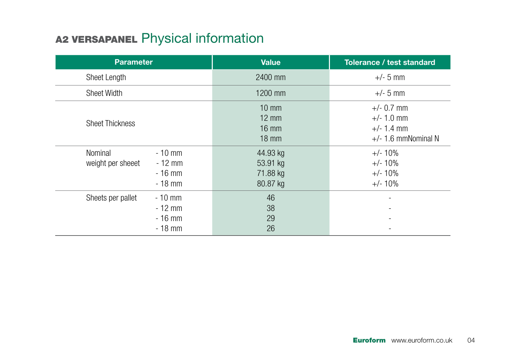## A2 VERSAPANEL Physical information

| <b>Parameter</b>                                                             | <b>Value</b>                                                             | Tolerance / test standard                                             |
|------------------------------------------------------------------------------|--------------------------------------------------------------------------|-----------------------------------------------------------------------|
| Sheet Length                                                                 | 2400 mm                                                                  | $+/- 5$ mm                                                            |
| <b>Sheet Width</b>                                                           | 1200 mm                                                                  | $+/- 5$ mm                                                            |
| <b>Sheet Thickness</b>                                                       | $10 \text{ mm}$<br>$12 \text{ mm}$<br>$16 \text{ mm}$<br>$18 \text{ mm}$ | $+/- 0.7$ mm<br>$+/- 1.0$ mm<br>$+/- 1.4$ mm<br>$+/-$ 1.6 mmNominal N |
| Nominal<br>$-10$ mm<br>weight per sheeet<br>$-12$ mm<br>$-16$ mm<br>$-18$ mm | 44.93 kg<br>53.91 kg<br>71.88 kg<br>80.87 kg                             | $+/- 10%$<br>$+/- 10%$<br>$+/- 10%$<br>$+/- 10%$                      |
| Sheets per pallet<br>$-10$ mm<br>$-12$ mm<br>$-16$ mm<br>$-18$ mm            | 46<br>38<br>29<br>26                                                     |                                                                       |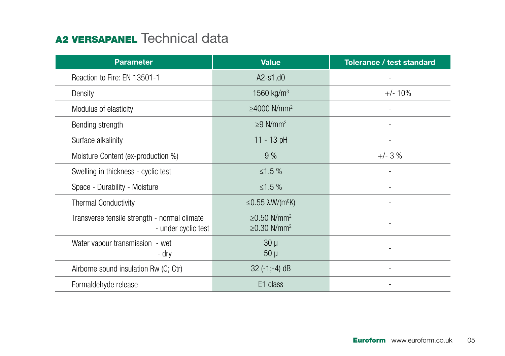#### A<sub>2</sub> VERSAPANEL Technical data

| <b>Parameter</b>                                                    | <b>Value</b>                                                   | Tolerance / test standard |
|---------------------------------------------------------------------|----------------------------------------------------------------|---------------------------|
| Reaction to Fire: EN 13501-1                                        | $A2-s1, d0$                                                    |                           |
| Density                                                             | 1560 kg/m <sup>3</sup>                                         | $+/- 10%$                 |
| Modulus of elasticity                                               | $\geq$ 4000 N/mm <sup>2</sup>                                  |                           |
| Bending strength                                                    | $\geq$ 9 N/mm <sup>2</sup>                                     |                           |
| Surface alkalinity                                                  | 11 - 13 pH                                                     |                           |
| Moisture Content (ex-production %)                                  | 9%                                                             | $+/- 3 %$                 |
| Swelling in thickness - cyclic test                                 | ≤1.5 $%$                                                       |                           |
| Space - Durability - Moisture                                       | ≤1.5 $%$                                                       |                           |
| <b>Thermal Conductivity</b>                                         | $\leq$ 0.55 $\lambda$ W/(m <sup>o</sup> K)                     |                           |
| Transverse tensile strength - normal climate<br>- under cyclic test | $\geq$ 0.50 N/mm <sup>2</sup><br>$\geq$ 0.30 N/mm <sup>2</sup> |                           |
| Water vapour transmission - wet<br>- dry                            | $30 \mu$<br>$50 \mu$                                           |                           |
| Airborne sound insulation Rw (C; Ctr)                               | $32$ (-1;-4) dB                                                |                           |
| Formaldehyde release                                                | E <sub>1</sub> class                                           |                           |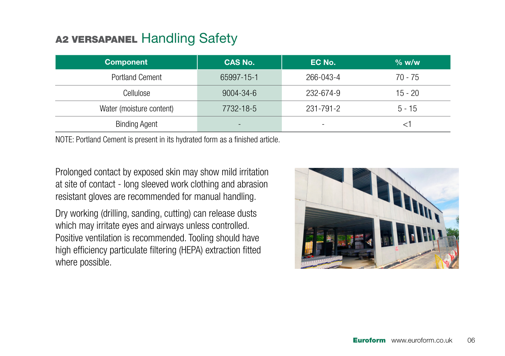#### A<sub>2</sub> VERSAPANEL Handling Safety

| <b>Component</b>         | <b>CAS No.</b>  | EC No.                   | $%$ w/w   |
|--------------------------|-----------------|--------------------------|-----------|
| <b>Portland Cement</b>   | 65997-15-1      | 266-043-4                | $70 - 75$ |
| Cellulose                | $9004 - 34 - 6$ | 232-674-9                | $15 - 20$ |
| Water (moisture content) | 7732-18-5       | 231-791-2                | $5 - 15$  |
| <b>Binding Agent</b>     |                 | $\overline{\phantom{a}}$ |           |

NOTE: Portland Cement is present in its hydrated form as a finished article.

Prolonged contact by exposed skin may show mild irritation at site of contact - long sleeved work clothing and abrasion resistant gloves are recommended for manual handling.

Dry working (drilling, sanding, cutting) can release dusts which may irritate eyes and airways unless controlled. Positive ventilation is recommended. Tooling should have high efficiency particulate filtering (HEPA) extraction fitted where possible.

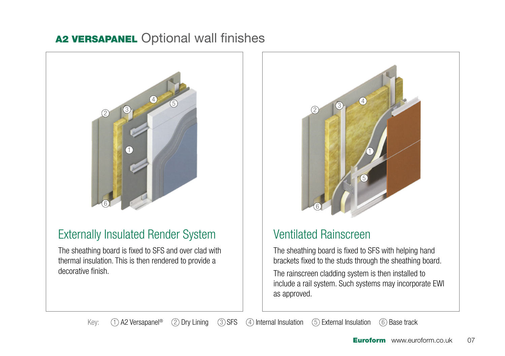#### A2 VERSAPANEL Optional wall finishes



#### Externally Insulated Render System

The sheathing board is fixed to SFS and over clad with thermal insulation. This is then rendered to provide a decorative finish.



#### Ventilated Rainscreen

The sheathing board is fixed to SFS with helping hand brackets fixed to the studs through the sheathing board.

The rainscreen cladding system is then installed to include a rail system. Such systems may incorporate EWI as approved.

Key:  $\bigcap$  A2 Versapanel<sup>®</sup>  $\bigcirc$  Dry Lining  $\bigcirc$  SFS  $\bigcirc$  Internal Insulation  $\bigcirc$  External Insulation  $\bigcirc$  Base track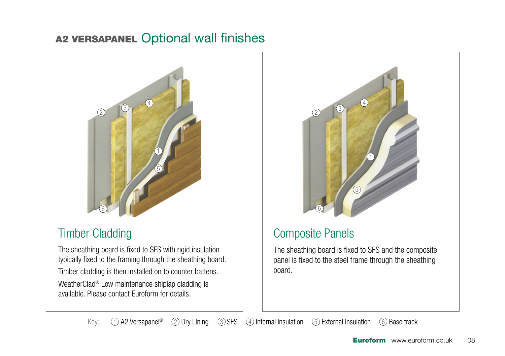#### A2 VERSAPANEL Optional wall finishes



#### Timber Cladding

The sheathing board is fixed to SFS with rigid insulation typically fixed to the framing through the sheathing board. Timber cladding is then installed on to counter battens.

WeatherClad® Low maintenance shiplap cladding is available. Please contact Euroform for details.



## Composite Panels

The sheathing board is fixed to SFS and the composite panel is fixed to the steel frame through the sheathing board.

Key:  $\Box$  A2 Versapanel<sup>®</sup>  $\Box$  Dry Lining  $\Box$  SFS  $\Box$  Internal Insulation  $\Box$  External Insulation  $\Box$  Base track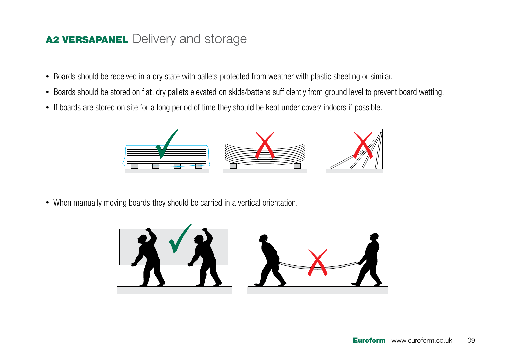#### A<sub>2</sub> VERSAPANEL Delivery and storage

- Boards should be received in a dry state with pallets protected from weather with plastic sheeting or similar.
- Boards should be stored on flat, dry pallets elevated on skids/battens sufficiently from ground level to prevent board wetting.
- If boards are stored on site for a long period of time they should be kept under cover/ indoors if possible.



• When manually moving boards they should be carried in a vertical orientation.

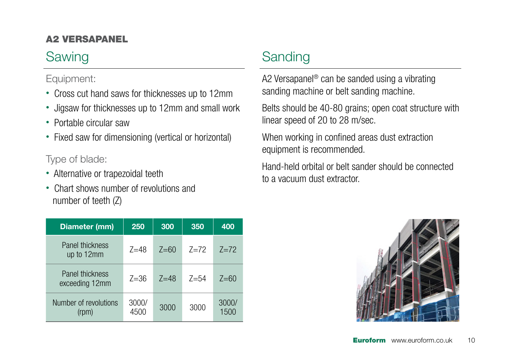#### A2 VERSAPANEL

## Sawing

#### Equipment:

- Cross cut hand saws for thicknesses up to 12mm
- Jigsaw for thicknesses up to 12mm and small work
- Portable circular saw
- Fixed saw for dimensioning (vertical or horizontal)

#### Type of blade:

- Alternative or trapezoidal teeth
- Chart shows number of revolutions and number of teeth (Z)

## **Sanding**

A2 Versapanel® can be sanded using a vibrating sanding machine or belt sanding machine.

Belts should be 40-80 grains; open coat structure with linear speed of 20 to 28 m/sec.

When working in confined areas dust extraction equipment is recommended.

Hand-held orbital or belt sander should be connected to a vacuum dust extractor.

| Diameter (mm)                     | 250           | 300      | 350      | 400           |
|-----------------------------------|---------------|----------|----------|---------------|
| Panel thickness<br>up to 12mm     | $7 = 48$      | $7 = 60$ | $7 = 72$ | $7 = 72$      |
| Panel thickness<br>exceeding 12mm | $7 = 36$      | $7 = 48$ | $7 = 54$ | $7=60$        |
| Number of revolutions<br>(rpm)    | 3000/<br>4500 | 3000     | 3000     | 3000/<br>1500 |

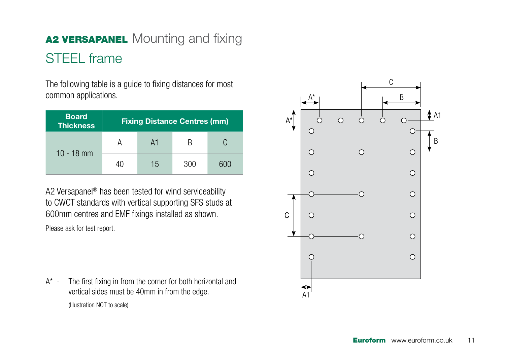# A2 VERSAPANEL Mounting and fixing STEEL frame

The following table is a guide to fixing distances for most common applications.

| <b>Board</b><br><b>Thickness</b> |    | <b>Fixing Distance Centres (mm)</b> |     |     |
|----------------------------------|----|-------------------------------------|-----|-----|
| $10 - 18$ mm                     |    | A1                                  |     |     |
|                                  | 40 | 15                                  | 300 | 600 |

A2 Versapanel® has been tested for wind serviceability to CWCT standards with vertical supporting SFS studs at 600mm centres and EMF fixings installed as shown.

Please ask for test report.

A\* - The first fixing in from the corner for both horizontal and vertical sides must be 40mm in from the edge. (Illustration NOT to scale)

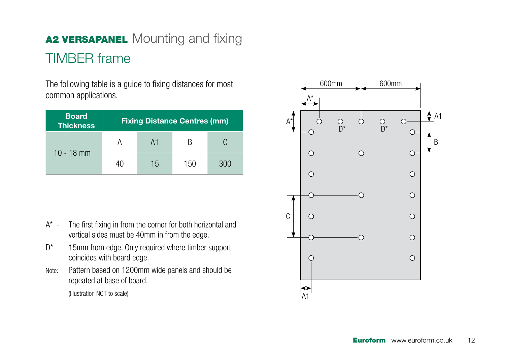# A2 VERSAPANEL Mounting and fixing TIMBER frame

The following table is a guide to fixing distances for most common applications.

| <b>Board</b><br><b>Thickness</b> |    |    | <b>Fixing Distance Centres (mm)</b> |     |
|----------------------------------|----|----|-------------------------------------|-----|
| $10 - 18$ mm                     |    | A1 | к                                   |     |
|                                  | 40 | 15 | 150                                 | 300 |

- A\* The first fixing in from the corner for both horizontal and vertical sides must be 40mm in from the edge.
- D<sup>\*</sup> 15mm from edge. Only required where timber support coincides with board edge.
- Note: Pattern based on 1200mm wide panels and should be repeated at base of board.

(Illustration NOT to scale)

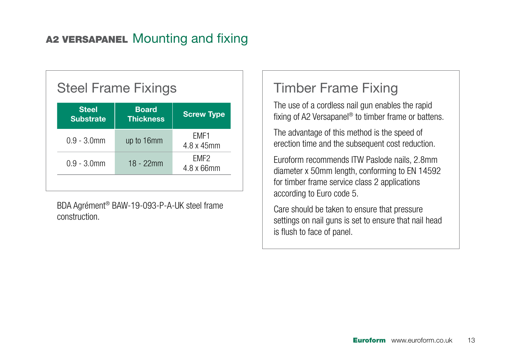#### A2 VERSAPANEL Mounting and fixing

## Steel Frame Fixings

| <b>Steel</b><br><b>Substrate</b> | <b>Board</b><br><b>Thickness</b> | <b>Screw Type</b>          |
|----------------------------------|----------------------------------|----------------------------|
| $0.9 - 3.0$ mm                   | up to 16mm                       | FMF1<br>4.8 x 45mm         |
| $0.9 - 3.0$ mm                   | $18 - 22$ mm                     | FMF2<br>$4.8 \times 66$ mm |

BDA Agrément® BAW-19-093-P-A-UK steel frame construction.

#### Timber Frame Fixing

The use of a cordless nail gun enables the rapid fixing of A2 Versapanel® to timber frame or battens.

The advantage of this method is the speed of erection time and the subsequent cost reduction.

Euroform recommends ITW Paslode nails, 2.8mm diameter x 50mm length, conforming to EN 14592 for timber frame service class 2 applications according to Euro code 5.

Care should be taken to ensure that pressure settings on nail guns is set to ensure that nail head is flush to face of panel.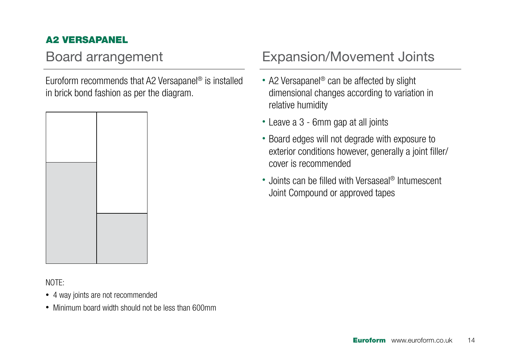#### A2 VERSAPANEL

Euroform recommends that A2 Versapanel® is installed in brick bond fashion as per the diagram.



#### NOTE:

- 4 way joints are not recommended
- Minimum board width should not be less than 600mm

#### Board arrangement Expansion/Movement Joints

- A2 Versapanel<sup>®</sup> can be affected by slight dimensional changes according to variation in relative humidity
- Leave a 3 6mm gap at all joints
- Board edges will not degrade with exposure to exterior conditions however, generally a joint filler/ cover is recommended
- Joints can be filled with Versaseal<sup>®</sup> Intumescent Joint Compound or approved tapes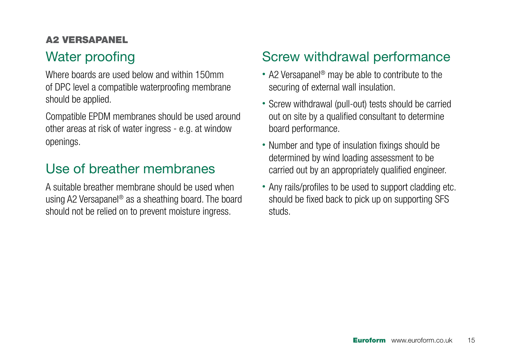#### A2 VERSAPANEL

## Water proofing

Where boards are used below and within 150mm of DPC level a compatible waterproofing membrane should be applied.

Compatible EPDM membranes should be used around other areas at risk of water ingress - e.g. at window openings.

## Use of breather membranes

A suitable breather membrane should be used when using A2 Versapanel® as a sheathing board. The board should not be relied on to prevent moisture ingress.

## Screw withdrawal performance

- A2 Versapanel<sup>®</sup> may be able to contribute to the securing of external wall insulation.
- Screw withdrawal (pull-out) tests should be carried out on site by a qualified consultant to determine board performance.
- Number and type of insulation fixings should be determined by wind loading assessment to be carried out by an appropriately qualified engineer.
- Any rails/profiles to be used to support cladding etc. should be fixed back to pick up on supporting SFS studs.